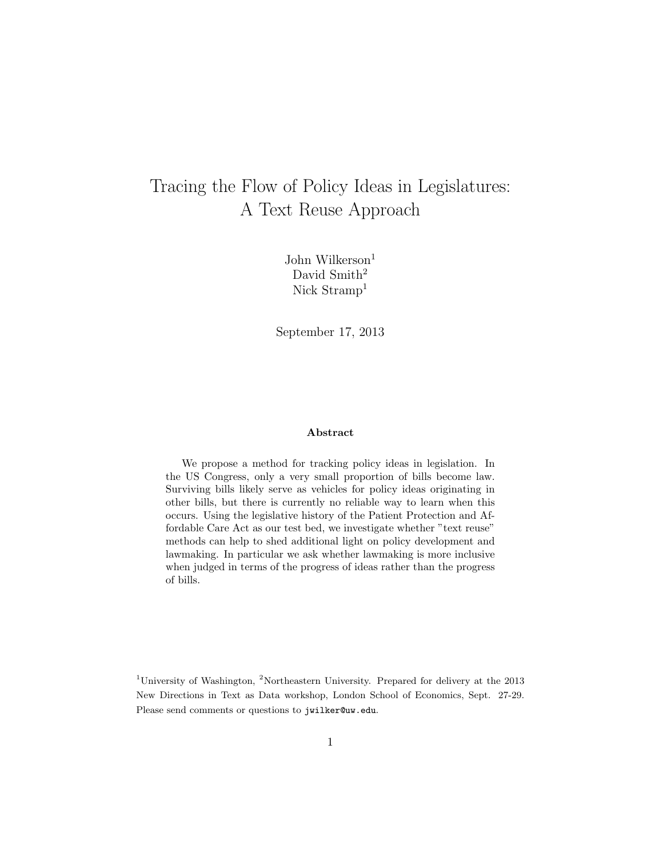# <span id="page-0-0"></span>Tracing the Flow of Policy Ideas in Legislatures: A Text Reuse Approach

John Wilkerson $<sup>1</sup>$ </sup> David Smith<sup>2</sup> Nick Stramp<sup>1</sup>

September 17, 2013

#### Abstract

We propose a method for tracking policy ideas in legislation. In the US Congress, only a very small proportion of bills become law. Surviving bills likely serve as vehicles for policy ideas originating in other bills, but there is currently no reliable way to learn when this occurs. Using the legislative history of the Patient Protection and Affordable Care Act as our test bed, we investigate whether "text reuse" methods can help to shed additional light on policy development and lawmaking. In particular we ask whether lawmaking is more inclusive when judged in terms of the progress of ideas rather than the progress of bills.

<sup>1</sup>University of Washington, <sup>2</sup>Northeastern University. Prepared for delivery at the  $2013$ New Directions in Text as Data workshop, London School of Economics, Sept. 27-29. Please send comments or questions to jwilker@uw.edu.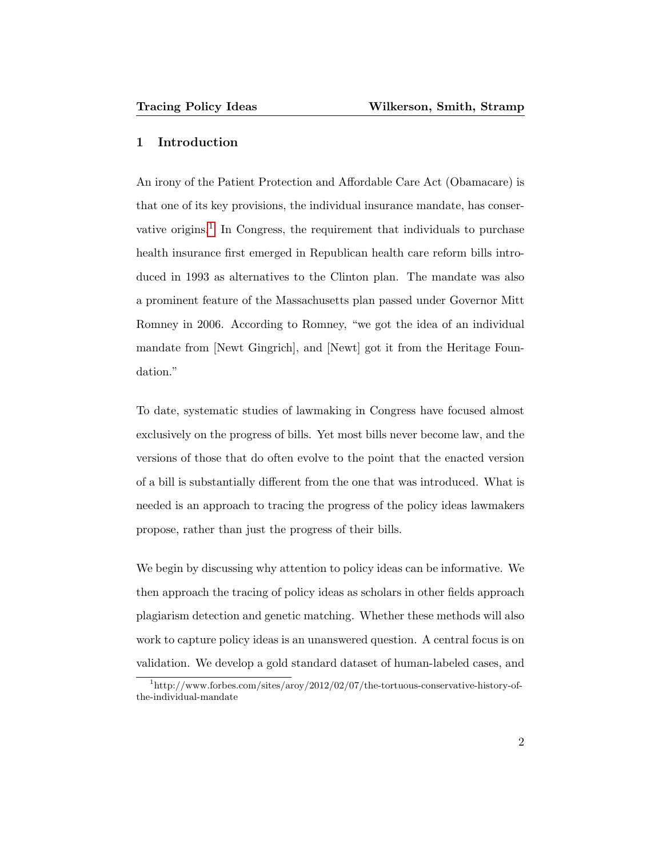## 1 Introduction

An irony of the Patient Protection and Affordable Care Act (Obamacare) is that one of its key provisions, the individual insurance mandate, has conser-vative origins.<sup>[1](#page-0-0)</sup> In Congress, the requirement that individuals to purchase health insurance first emerged in Republican health care reform bills introduced in 1993 as alternatives to the Clinton plan. The mandate was also a prominent feature of the Massachusetts plan passed under Governor Mitt Romney in 2006. According to Romney, "we got the idea of an individual mandate from [Newt Gingrich], and [Newt] got it from the Heritage Foundation."

To date, systematic studies of lawmaking in Congress have focused almost exclusively on the progress of bills. Yet most bills never become law, and the versions of those that do often evolve to the point that the enacted version of a bill is substantially different from the one that was introduced. What is needed is an approach to tracing the progress of the policy ideas lawmakers propose, rather than just the progress of their bills.

We begin by discussing why attention to policy ideas can be informative. We then approach the tracing of policy ideas as scholars in other fields approach plagiarism detection and genetic matching. Whether these methods will also work to capture policy ideas is an unanswered question. A central focus is on validation. We develop a gold standard dataset of human-labeled cases, and

<sup>&</sup>lt;sup>1</sup>http://www.forbes.com/sites/aroy/2012/02/07/the-tortuous-conservative-history-ofthe-individual-mandate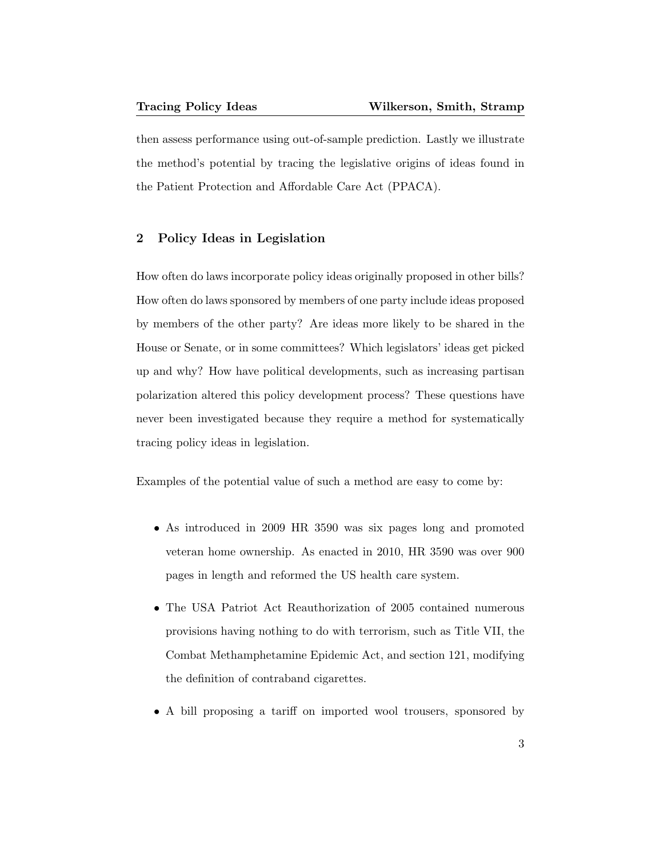then assess performance using out-of-sample prediction. Lastly we illustrate the method's potential by tracing the legislative origins of ideas found in the Patient Protection and Affordable Care Act (PPACA).

## 2 Policy Ideas in Legislation

How often do laws incorporate policy ideas originally proposed in other bills? How often do laws sponsored by members of one party include ideas proposed by members of the other party? Are ideas more likely to be shared in the House or Senate, or in some committees? Which legislators' ideas get picked up and why? How have political developments, such as increasing partisan polarization altered this policy development process? These questions have never been investigated because they require a method for systematically tracing policy ideas in legislation.

Examples of the potential value of such a method are easy to come by:

- As introduced in 2009 HR 3590 was six pages long and promoted veteran home ownership. As enacted in 2010, HR 3590 was over 900 pages in length and reformed the US health care system.
- The USA Patriot Act Reauthorization of 2005 contained numerous provisions having nothing to do with terrorism, such as Title VII, the Combat Methamphetamine Epidemic Act, and section 121, modifying the definition of contraband cigarettes.
- A bill proposing a tariff on imported wool trousers, sponsored by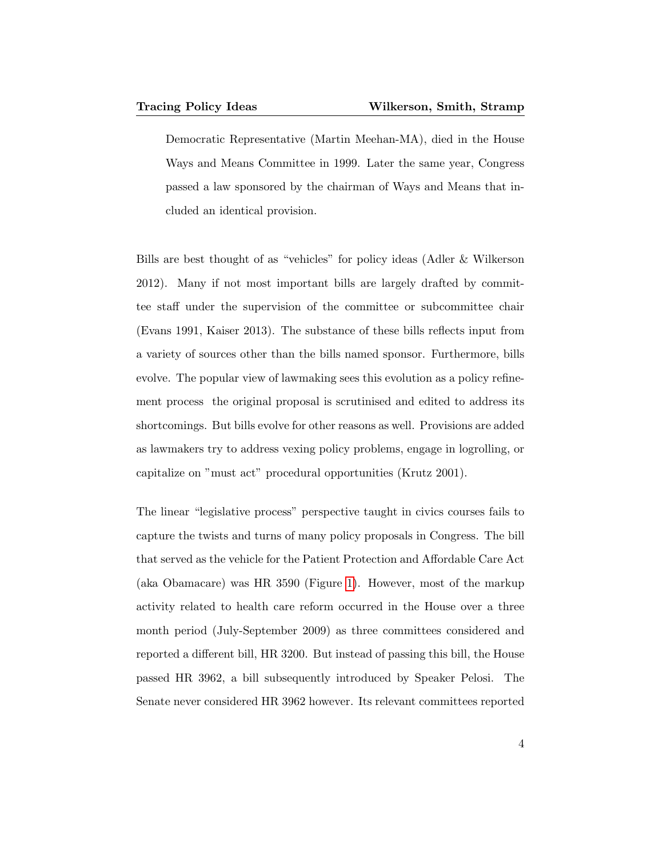Democratic Representative (Martin Meehan-MA), died in the House Ways and Means Committee in 1999. Later the same year, Congress passed a law sponsored by the chairman of Ways and Means that included an identical provision.

Bills are best thought of as "vehicles" for policy ideas (Adler & Wilkerson 2012). Many if not most important bills are largely drafted by committee staff under the supervision of the committee or subcommittee chair (Evans 1991, Kaiser 2013). The substance of these bills reflects input from a variety of sources other than the bills named sponsor. Furthermore, bills evolve. The popular view of lawmaking sees this evolution as a policy refinement process the original proposal is scrutinised and edited to address its shortcomings. But bills evolve for other reasons as well. Provisions are added as lawmakers try to address vexing policy problems, engage in logrolling, or capitalize on "must act" procedural opportunities (Krutz 2001).

The linear "legislative process" perspective taught in civics courses fails to capture the twists and turns of many policy proposals in Congress. The bill that served as the vehicle for the Patient Protection and Affordable Care Act (aka Obamacare) was HR 3590 (Figure [1\)](#page-5-0). However, most of the markup activity related to health care reform occurred in the House over a three month period (July-September 2009) as three committees considered and reported a different bill, HR 3200. But instead of passing this bill, the House passed HR 3962, a bill subsequently introduced by Speaker Pelosi. The Senate never considered HR 3962 however. Its relevant committees reported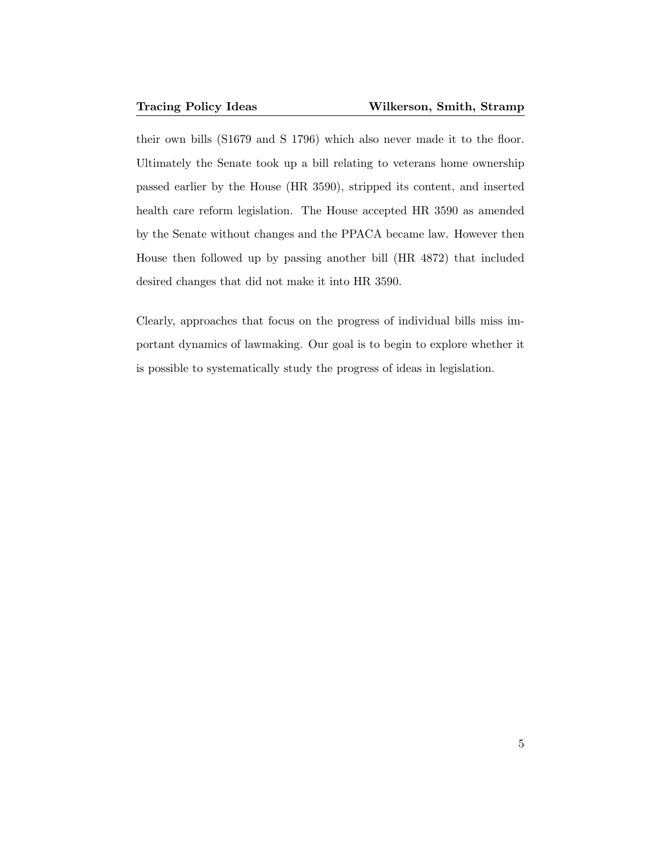their own bills (S1679 and S 1796) which also never made it to the floor. Ultimately the Senate took up a bill relating to veterans home ownership passed earlier by the House (HR 3590), stripped its content, and inserted health care reform legislation. The House accepted HR 3590 as amended by the Senate without changes and the PPACA became law. However then House then followed up by passing another bill (HR 4872) that included desired changes that did not make it into HR 3590.

Clearly, approaches that focus on the progress of individual bills miss important dynamics of lawmaking. Our goal is to begin to explore whether it is possible to systematically study the progress of ideas in legislation.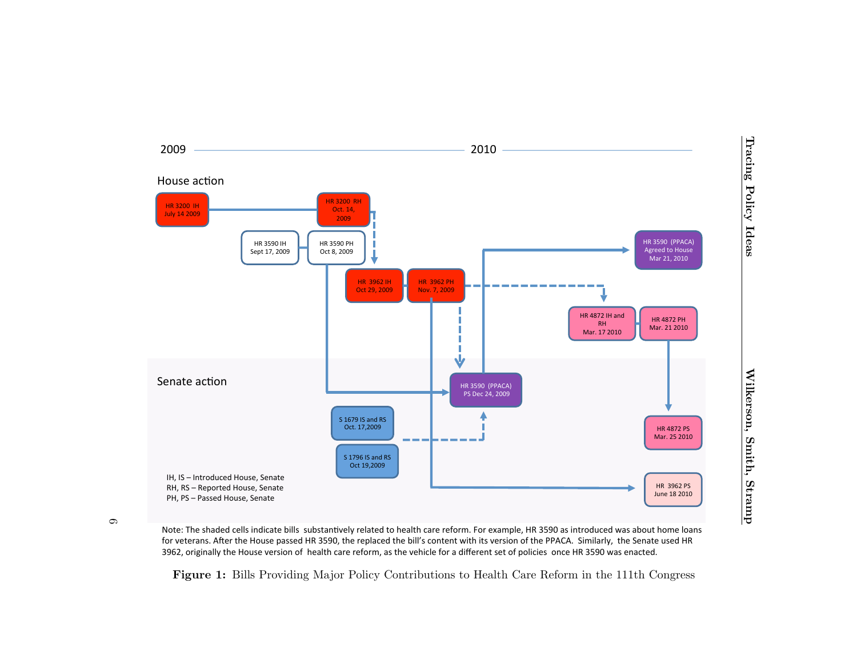

 $\circ$ 

Note: The shaded cells indicate bills substantively related to health care reform. For example, HR 3590 as introduced was about home loans for veterans. After the House passed HR 3590, the replaced the bill's content with its version of the PPACA. Similarly, the Senate used HR 3962, originally the House version of health care reform, as the vehicle for a different set of policies once HR 3590 was enacted.

<span id="page-5-0"></span>Figure 1: Bills Providing Major Policy Contributions to Health Care Reform in the 111th Congress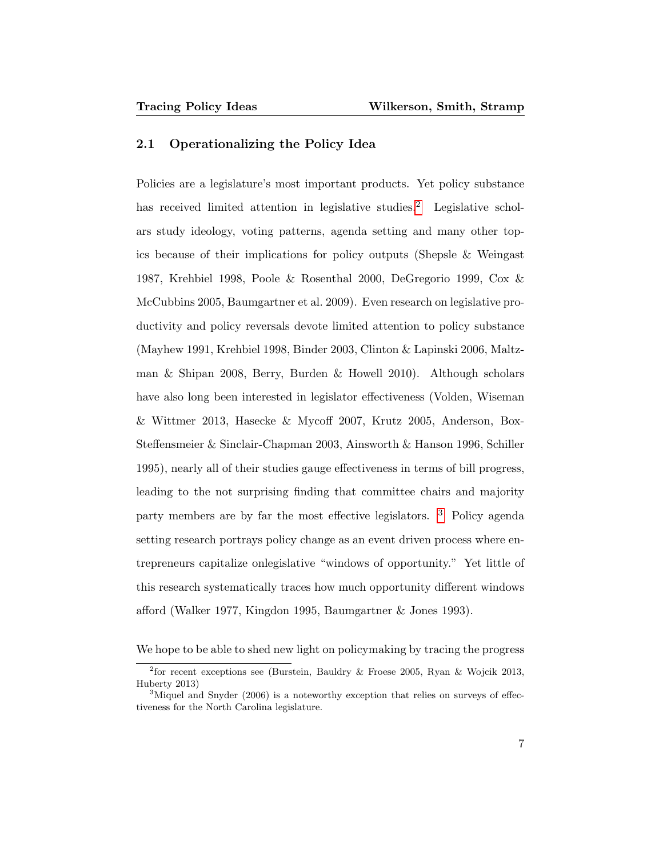## 2.1 Operationalizing the Policy Idea

Policies are a legislature's most important products. Yet policy substance has received limited attention in legislative studies.<sup>[2](#page-0-0)</sup> Legislative scholars study ideology, voting patterns, agenda setting and many other topics because of their implications for policy outputs (Shepsle & Weingast 1987, Krehbiel 1998, Poole & Rosenthal 2000, DeGregorio 1999, Cox & McCubbins 2005, Baumgartner et al. 2009). Even research on legislative productivity and policy reversals devote limited attention to policy substance (Mayhew 1991, Krehbiel 1998, Binder 2003, Clinton & Lapinski 2006, Maltzman & Shipan 2008, Berry, Burden & Howell 2010). Although scholars have also long been interested in legislator effectiveness (Volden, Wiseman & Wittmer 2013, Hasecke & Mycoff 2007, Krutz 2005, Anderson, Box-Steffensmeier & Sinclair-Chapman 2003, Ainsworth & Hanson 1996, Schiller 1995), nearly all of their studies gauge effectiveness in terms of bill progress, leading to the not surprising finding that committee chairs and majority party members are by far the most effective legislators. [3](#page-0-0) Policy agenda setting research portrays policy change as an event driven process where entrepreneurs capitalize onlegislative "windows of opportunity." Yet little of this research systematically traces how much opportunity different windows afford (Walker 1977, Kingdon 1995, Baumgartner & Jones 1993).

We hope to be able to shed new light on policymaking by tracing the progress

<sup>&</sup>lt;sup>2</sup> for recent exceptions see (Burstein, Bauldry & Froese 2005, Ryan & Wojcik 2013, Huberty 2013)

<sup>&</sup>lt;sup>3</sup>Miquel and Snyder (2006) is a noteworthy exception that relies on surveys of effectiveness for the North Carolina legislature.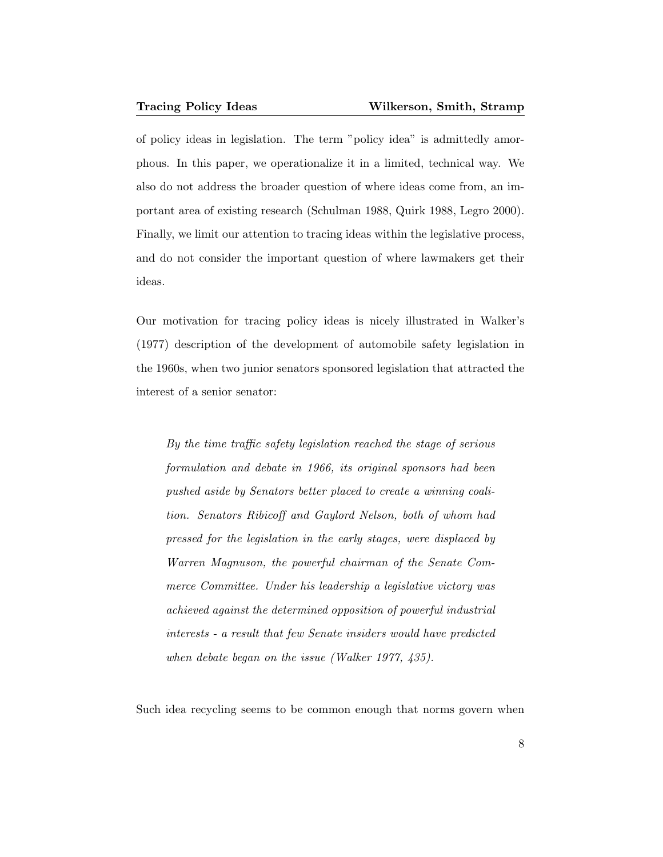of policy ideas in legislation. The term "policy idea" is admittedly amorphous. In this paper, we operationalize it in a limited, technical way. We also do not address the broader question of where ideas come from, an important area of existing research (Schulman 1988, Quirk 1988, Legro 2000). Finally, we limit our attention to tracing ideas within the legislative process, and do not consider the important question of where lawmakers get their ideas.

Our motivation for tracing policy ideas is nicely illustrated in Walker's (1977) description of the development of automobile safety legislation in the 1960s, when two junior senators sponsored legislation that attracted the interest of a senior senator:

By the time traffic safety legislation reached the stage of serious formulation and debate in 1966, its original sponsors had been pushed aside by Senators better placed to create a winning coalition. Senators Ribicoff and Gaylord Nelson, both of whom had pressed for the legislation in the early stages, were displaced by Warren Magnuson, the powerful chairman of the Senate Commerce Committee. Under his leadership a legislative victory was achieved against the determined opposition of powerful industrial interests - a result that few Senate insiders would have predicted when debate began on the issue (Walker 1977, 435).

Such idea recycling seems to be common enough that norms govern when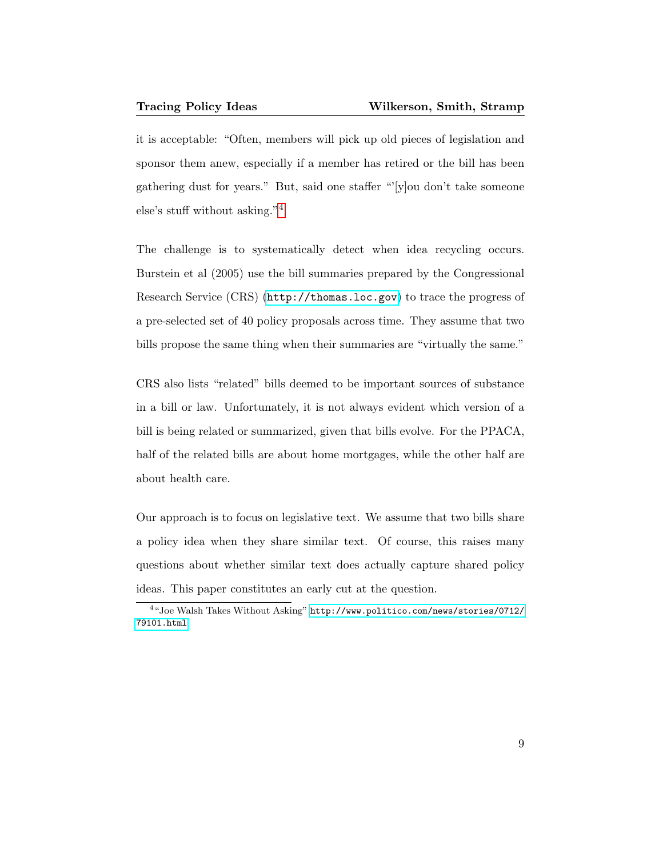it is acceptable: "Often, members will pick up old pieces of legislation and sponsor them anew, especially if a member has retired or the bill has been gathering dust for years." But, said one staffer "'[y]ou don't take someone else's stuff without asking."[4](#page-0-0)

The challenge is to systematically detect when idea recycling occurs. Burstein et al (2005) use the bill summaries prepared by the Congressional Research Service (CRS) (<http://thomas.loc.gov>) to trace the progress of a pre-selected set of 40 policy proposals across time. They assume that two bills propose the same thing when their summaries are "virtually the same."

CRS also lists "related" bills deemed to be important sources of substance in a bill or law. Unfortunately, it is not always evident which version of a bill is being related or summarized, given that bills evolve. For the PPACA, half of the related bills are about home mortgages, while the other half are about health care.

Our approach is to focus on legislative text. We assume that two bills share a policy idea when they share similar text. Of course, this raises many questions about whether similar text does actually capture shared policy ideas. This paper constitutes an early cut at the question.

<sup>4</sup> "Joe Walsh Takes Without Asking" [http://www.politico.com/news/stories/0712/](http://www.politico.com/news/stories/0712/79101.html) [79101.html](http://www.politico.com/news/stories/0712/79101.html)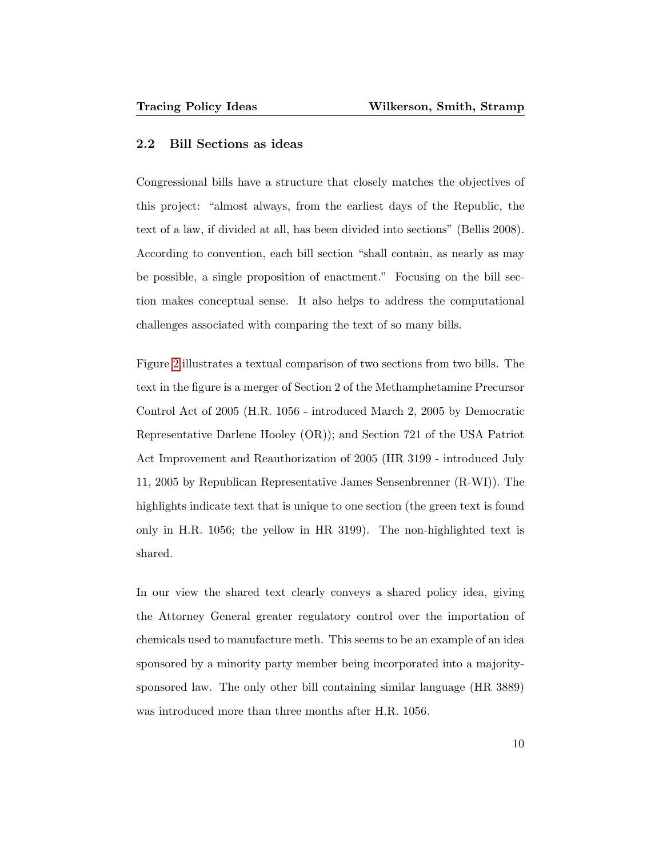## 2.2 Bill Sections as ideas

Congressional bills have a structure that closely matches the objectives of this project: "almost always, from the earliest days of the Republic, the text of a law, if divided at all, has been divided into sections" (Bellis 2008). According to convention, each bill section "shall contain, as nearly as may be possible, a single proposition of enactment." Focusing on the bill section makes conceptual sense. It also helps to address the computational challenges associated with comparing the text of so many bills.

Figure [2](#page-10-0) illustrates a textual comparison of two sections from two bills. The text in the figure is a merger of Section 2 of the Methamphetamine Precursor Control Act of 2005 (H.R. 1056 - introduced March 2, 2005 by Democratic Representative Darlene Hooley (OR)); and Section 721 of the USA Patriot Act Improvement and Reauthorization of 2005 (HR 3199 - introduced July 11, 2005 by Republican Representative James Sensenbrenner (R-WI)). The highlights indicate text that is unique to one section (the green text is found only in H.R. 1056; the yellow in HR 3199). The non-highlighted text is shared.

In our view the shared text clearly conveys a shared policy idea, giving the Attorney General greater regulatory control over the importation of chemicals used to manufacture meth. This seems to be an example of an idea sponsored by a minority party member being incorporated into a majoritysponsored law. The only other bill containing similar language (HR 3889) was introduced more than three months after H.R. 1056.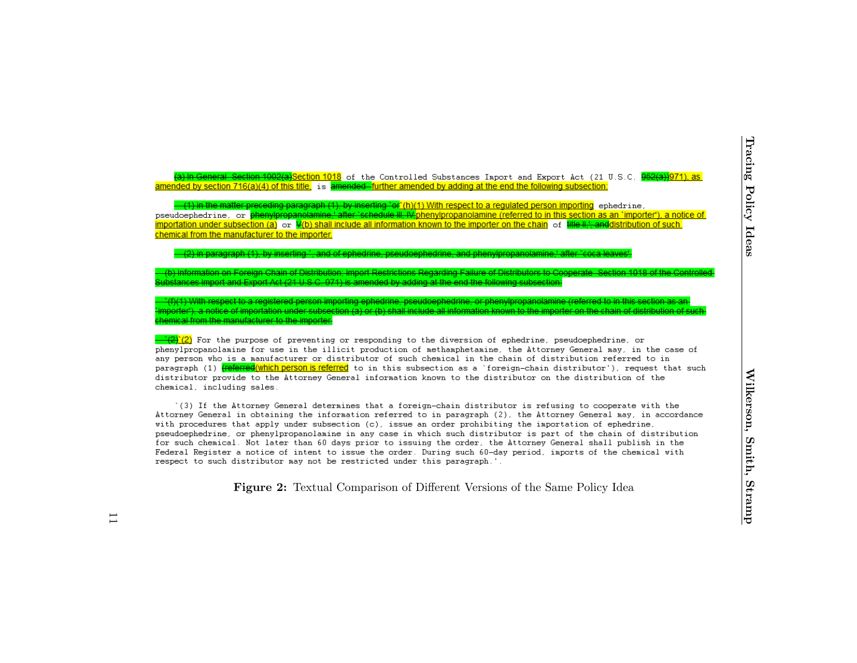Section 1926 (socion 1915 of the Centrolled Substances Inpert end Export Act (21 U.S.C. **99249971).** as a model of the Higger Library Comparison of the end the Comparison of the Policy Idea<br>Incrementation of the Same Polic

<span id="page-10-0"></span>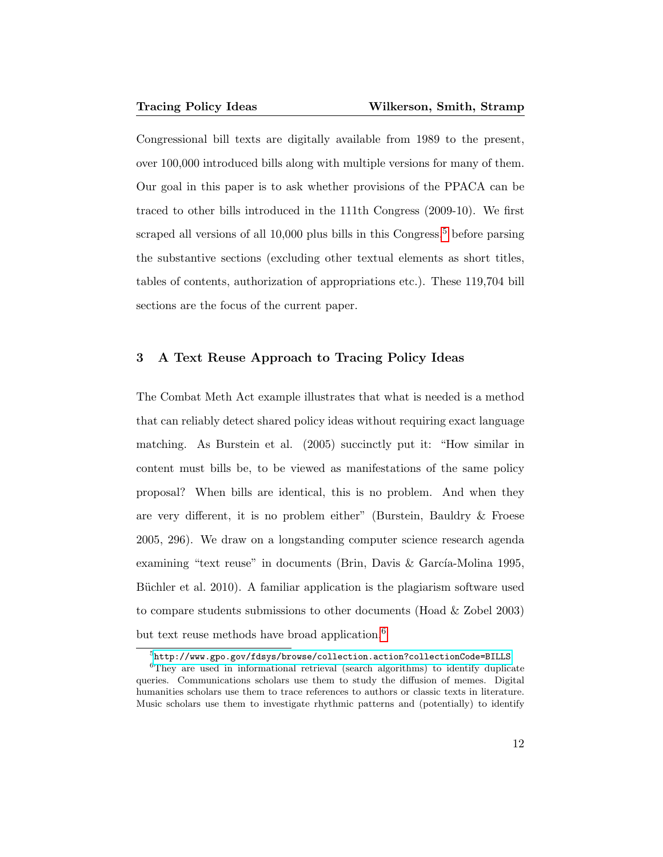Congressional bill texts are digitally available from 1989 to the present, over 100,000 introduced bills along with multiple versions for many of them. Our goal in this paper is to ask whether provisions of the PPACA can be traced to other bills introduced in the 111th Congress (2009-10). We first scraped all versions of all  $10,000$  plus bills in this Congress.<sup>[5](#page-0-0)</sup> before parsing the substantive sections (excluding other textual elements as short titles, tables of contents, authorization of appropriations etc.). These 119,704 bill sections are the focus of the current paper.

## 3 A Text Reuse Approach to Tracing Policy Ideas

The Combat Meth Act example illustrates that what is needed is a method that can reliably detect shared policy ideas without requiring exact language matching. As Burstein et al. (2005) succinctly put it: "How similar in content must bills be, to be viewed as manifestations of the same policy proposal? When bills are identical, this is no problem. And when they are very different, it is no problem either" (Burstein, Bauldry & Froese 2005, 296). We draw on a longstanding computer science research agenda examining "text reuse" in documents (Brin, Davis  $\&$  García-Molina 1995, Büchler et al. 2010). A familiar application is the plagiarism software used to compare students submissions to other documents (Hoad & Zobel 2003) but text reuse methods have broad application.<sup>[6](#page-0-0)</sup>

 $^5$ <http://www.gpo.gov/fdsys/browse/collection.action?collectionCode=BILLS>

<sup>6</sup>They are used in informational retrieval (search algorithms) to identify duplicate queries. Communications scholars use them to study the diffusion of memes. Digital humanities scholars use them to trace references to authors or classic texts in literature. Music scholars use them to investigate rhythmic patterns and (potentially) to identify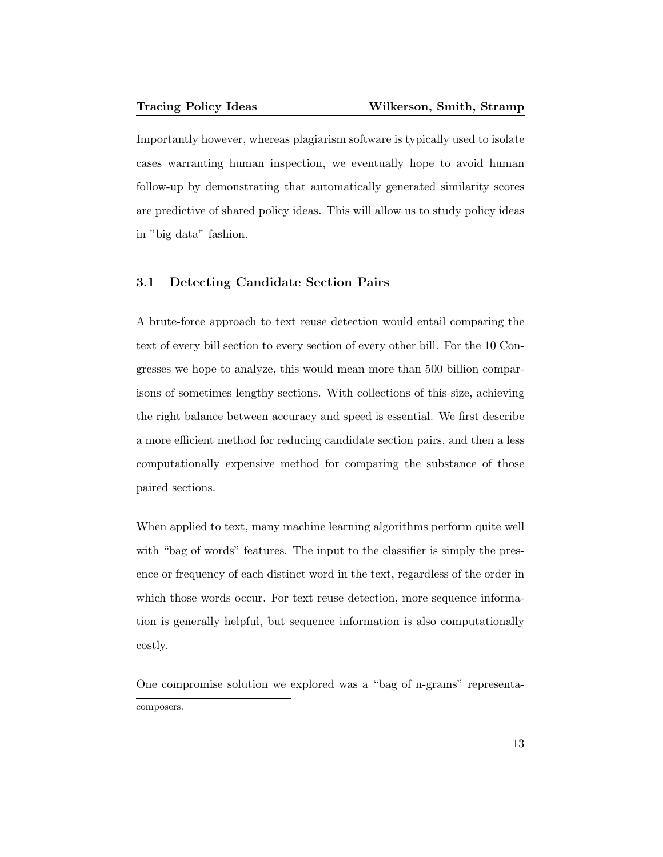Importantly however, whereas plagiarism software is typically used to isolate cases warranting human inspection, we eventually hope to avoid human follow-up by demonstrating that automatically generated similarity scores are predictive of shared policy ideas. This will allow us to study policy ideas in "big data" fashion.

## 3.1 Detecting Candidate Section Pairs

A brute-force approach to text reuse detection would entail comparing the text of every bill section to every section of every other bill. For the 10 Congresses we hope to analyze, this would mean more than 500 billion comparisons of sometimes lengthy sections. With collections of this size, achieving the right balance between accuracy and speed is essential. We first describe a more efficient method for reducing candidate section pairs, and then a less computationally expensive method for comparing the substance of those paired sections.

When applied to text, many machine learning algorithms perform quite well with "bag of words" features. The input to the classifier is simply the presence or frequency of each distinct word in the text, regardless of the order in which those words occur. For text reuse detection, more sequence information is generally helpful, but sequence information is also computationally costly.

One compromise solution we explored was a "bag of n-grams" representacomposers.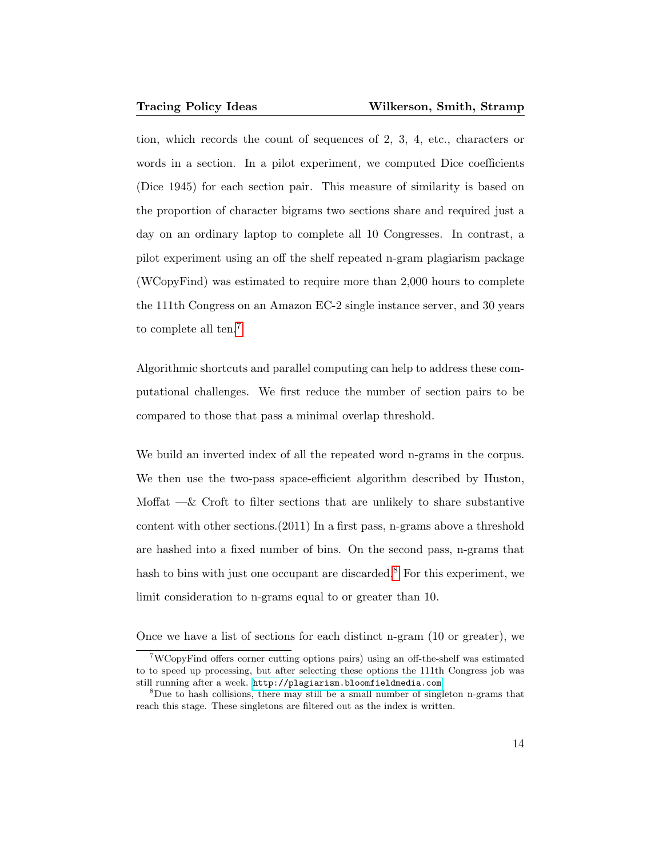tion, which records the count of sequences of 2, 3, 4, etc., characters or words in a section. In a pilot experiment, we computed Dice coefficients (Dice 1945) for each section pair. This measure of similarity is based on the proportion of character bigrams two sections share and required just a day on an ordinary laptop to complete all 10 Congresses. In contrast, a pilot experiment using an off the shelf repeated n-gram plagiarism package (WCopyFind) was estimated to require more than 2,000 hours to complete the 111th Congress on an Amazon EC-2 single instance server, and 30 years to complete all ten.<sup>[7](#page-0-0)</sup>

Algorithmic shortcuts and parallel computing can help to address these computational challenges. We first reduce the number of section pairs to be compared to those that pass a minimal overlap threshold.

We build an inverted index of all the repeated word n-grams in the corpus. We then use the two-pass space-efficient algorithm described by Huston, Moffat  $-\&$  Croft to filter sections that are unlikely to share substantive content with other sections.(2011) In a first pass, n-grams above a threshold are hashed into a fixed number of bins. On the second pass, n-grams that hash to bins with just one occupant are discarded.<sup>[8](#page-0-0)</sup> For this experiment, we limit consideration to n-grams equal to or greater than 10.

Once we have a list of sections for each distinct n-gram (10 or greater), we

<sup>7</sup>WCopyFind offers corner cutting options pairs) using an off-the-shelf was estimated to to speed up processing, but after selecting these options the 111th Congress job was still running after a week. <http://plagiarism.bloomfieldmedia.com>

<sup>8</sup>Due to hash collisions, there may still be a small number of singleton n-grams that reach this stage. These singletons are filtered out as the index is written.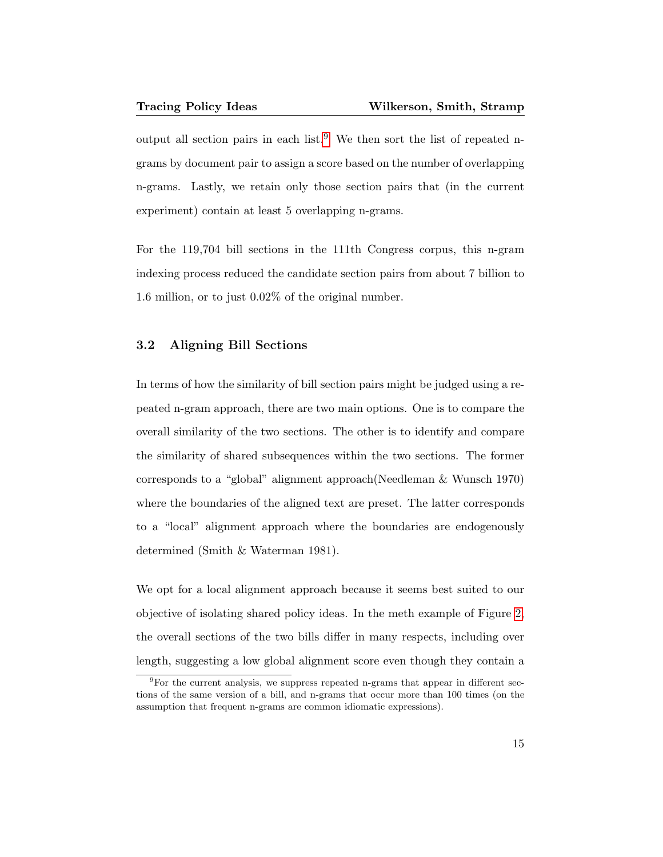output all section pairs in each list.<sup>[9](#page-0-0)</sup> We then sort the list of repeated ngrams by document pair to assign a score based on the number of overlapping n-grams. Lastly, we retain only those section pairs that (in the current experiment) contain at least 5 overlapping n-grams.

For the 119,704 bill sections in the 111th Congress corpus, this n-gram indexing process reduced the candidate section pairs from about 7 billion to 1.6 million, or to just 0.02% of the original number.

# 3.2 Aligning Bill Sections

In terms of how the similarity of bill section pairs might be judged using a repeated n-gram approach, there are two main options. One is to compare the overall similarity of the two sections. The other is to identify and compare the similarity of shared subsequences within the two sections. The former corresponds to a "global" alignment approach(Needleman & Wunsch 1970) where the boundaries of the aligned text are preset. The latter corresponds to a "local" alignment approach where the boundaries are endogenously determined (Smith & Waterman 1981).

We opt for a local alignment approach because it seems best suited to our objective of isolating shared policy ideas. In the meth example of Figure [2,](#page-10-0) the overall sections of the two bills differ in many respects, including over length, suggesting a low global alignment score even though they contain a

<sup>&</sup>lt;sup>9</sup>For the current analysis, we suppress repeated n-grams that appear in different sections of the same version of a bill, and n-grams that occur more than 100 times (on the assumption that frequent n-grams are common idiomatic expressions).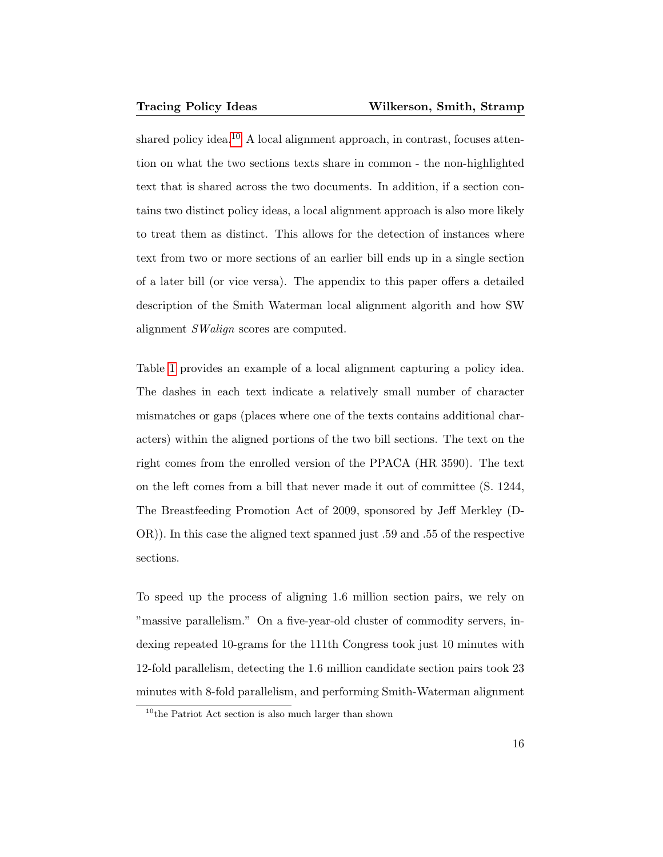shared policy idea.<sup>[10](#page-0-0)</sup> A local alignment approach, in contrast, focuses attention on what the two sections texts share in common - the non-highlighted text that is shared across the two documents. In addition, if a section contains two distinct policy ideas, a local alignment approach is also more likely to treat them as distinct. This allows for the detection of instances where text from two or more sections of an earlier bill ends up in a single section of a later bill (or vice versa). The appendix to this paper offers a detailed description of the Smith Waterman local alignment algorith and how SW alignment SWalign scores are computed.

Table [1](#page-16-0) provides an example of a local alignment capturing a policy idea. The dashes in each text indicate a relatively small number of character mismatches or gaps (places where one of the texts contains additional characters) within the aligned portions of the two bill sections. The text on the right comes from the enrolled version of the PPACA (HR 3590). The text on the left comes from a bill that never made it out of committee (S. 1244, The Breastfeeding Promotion Act of 2009, sponsored by Jeff Merkley (D-OR)). In this case the aligned text spanned just .59 and .55 of the respective sections.

To speed up the process of aligning 1.6 million section pairs, we rely on "massive parallelism." On a five-year-old cluster of commodity servers, indexing repeated 10-grams for the 111th Congress took just 10 minutes with 12-fold parallelism, detecting the 1.6 million candidate section pairs took 23 minutes with 8-fold parallelism, and performing Smith-Waterman alignment

 $10$ <sup>th</sup>e Patriot Act section is also much larger than shown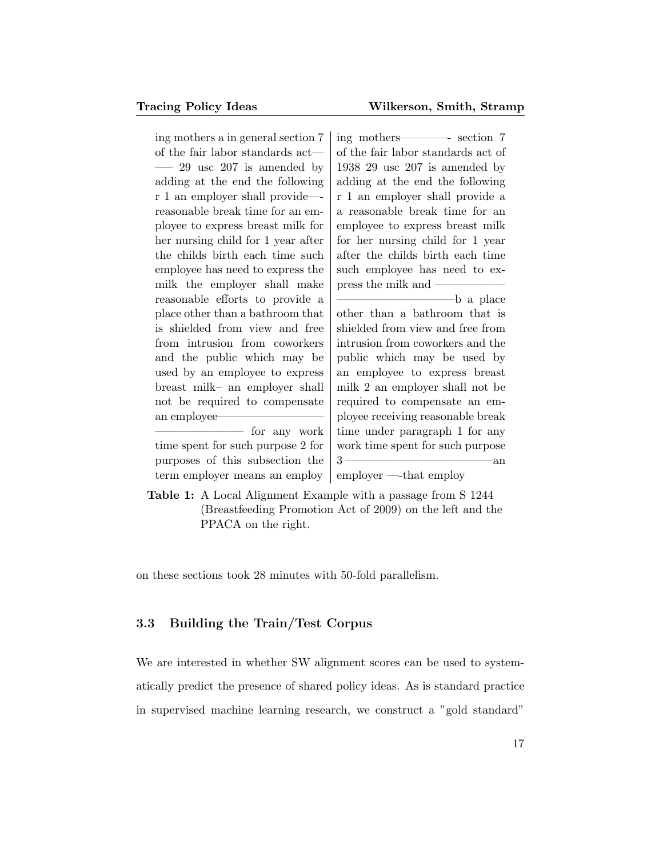<span id="page-16-0"></span>ing mothers a in general section 7 of the fair labor standards act— —– 29 usc 207 is amended by adding at the end the following r 1 an employer shall provide— reasonable break time for an employee to express breast milk for her nursing child for 1 year after the childs birth each time such employee has need to express the milk the employer shall make reasonable efforts to provide a place other than a bathroom that is shielded from view and free from intrusion from coworkers and the public which may be used by an employee to express breast milk– an employer shall not be required to compensate an employee-

for any work time spent for such purpose 2 for purposes of this subsection the term employer means an employ

ing mothers————- section 7 of the fair labor standards act of 1938 29 usc 207 is amended by adding at the end the following r 1 an employer shall provide a a reasonable break time for an employee to express breast milk for her nursing child for 1 year after the childs birth each time such employee has need to express the milk and  $\overline{\phantom{a}}$ 

 $-b$  a place other than a bathroom that is shielded from view and free from intrusion from coworkers and the public which may be used by an employee to express breast milk 2 an employer shall not be required to compensate an employee receiving reasonable break time under paragraph 1 for any work time spent for such purpose  $3 \longrightarrow \text{an}$ 

employer —-that employ

Table 1: A Local Alignment Example with a passage from S 1244 (Breastfeeding Promotion Act of 2009) on the left and the PPACA on the right.

on these sections took 28 minutes with 50-fold parallelism.

## 3.3 Building the Train/Test Corpus

We are interested in whether SW alignment scores can be used to systematically predict the presence of shared policy ideas. As is standard practice in supervised machine learning research, we construct a "gold standard"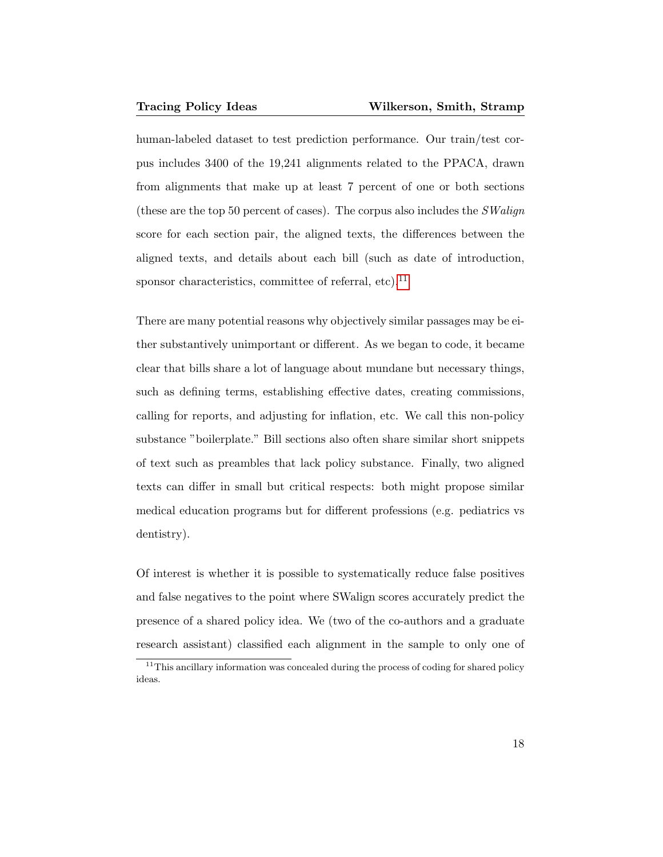human-labeled dataset to test prediction performance. Our train/test corpus includes 3400 of the 19,241 alignments related to the PPACA, drawn from alignments that make up at least 7 percent of one or both sections (these are the top 50 percent of cases). The corpus also includes the  $SWalign$ score for each section pair, the aligned texts, the differences between the aligned texts, and details about each bill (such as date of introduction, sponsor characteristics, committee of referral, etc).<sup>[11](#page-0-0)</sup>

There are many potential reasons why objectively similar passages may be either substantively unimportant or different. As we began to code, it became clear that bills share a lot of language about mundane but necessary things, such as defining terms, establishing effective dates, creating commissions, calling for reports, and adjusting for inflation, etc. We call this non-policy substance "boilerplate." Bill sections also often share similar short snippets of text such as preambles that lack policy substance. Finally, two aligned texts can differ in small but critical respects: both might propose similar medical education programs but for different professions (e.g. pediatrics vs dentistry).

Of interest is whether it is possible to systematically reduce false positives and false negatives to the point where SWalign scores accurately predict the presence of a shared policy idea. We (two of the co-authors and a graduate research assistant) classified each alignment in the sample to only one of

 $\rm ^{11}This$  ancillary information was concealed during the process of coding for shared policy ideas.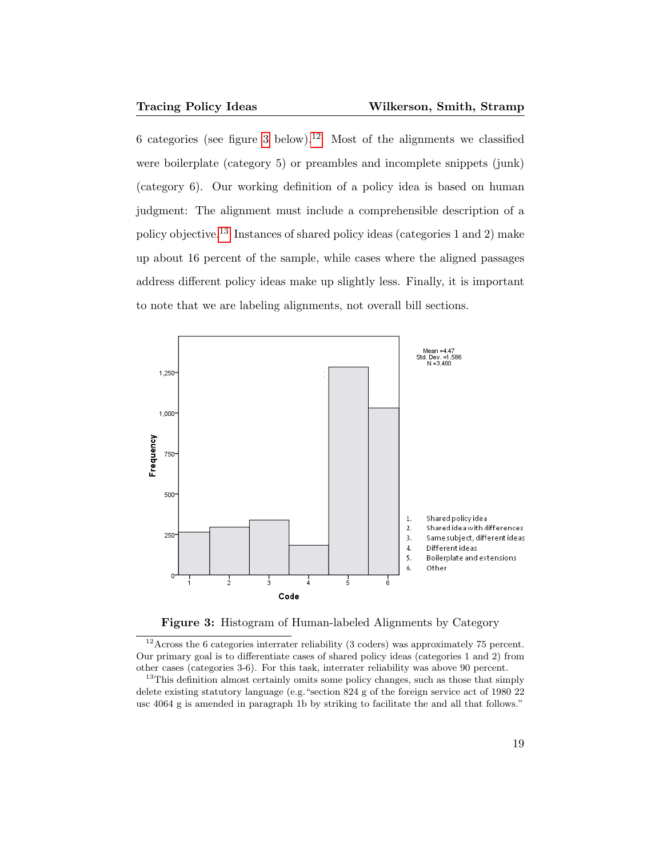6 categories (see figure [3](#page-18-0) below).<sup>[12](#page-0-0)</sup> Most of the alignments we classified were boilerplate (category 5) or preambles and incomplete snippets (junk) (category 6). Our working definition of a policy idea is based on human judgment: The alignment must include a comprehensible description of a policy objective.[13](#page-0-0) Instances of shared policy ideas (categories 1 and 2) make up about 16 percent of the sample, while cases where the aligned passages address different policy ideas make up slightly less. Finally, it is important to note that we are labeling alignments, not overall bill sections.

<span id="page-18-0"></span>

Figure 3: Histogram of Human-labeled Alignments by Category

 $12$ Across the 6 categories interrater reliability (3 coders) was approximately 75 percent. Our primary goal is to differentiate cases of shared policy ideas (categories 1 and 2) from other cases (categories 3-6). For this task, interrater reliability was above 90 percent.

<sup>13</sup>This definition almost certainly omits some policy changes, such as those that simply delete existing statutory language (e.g."section 824 g of the foreign service act of 1980 22 usc 4064 g is amended in paragraph 1b by striking to facilitate the and all that follows."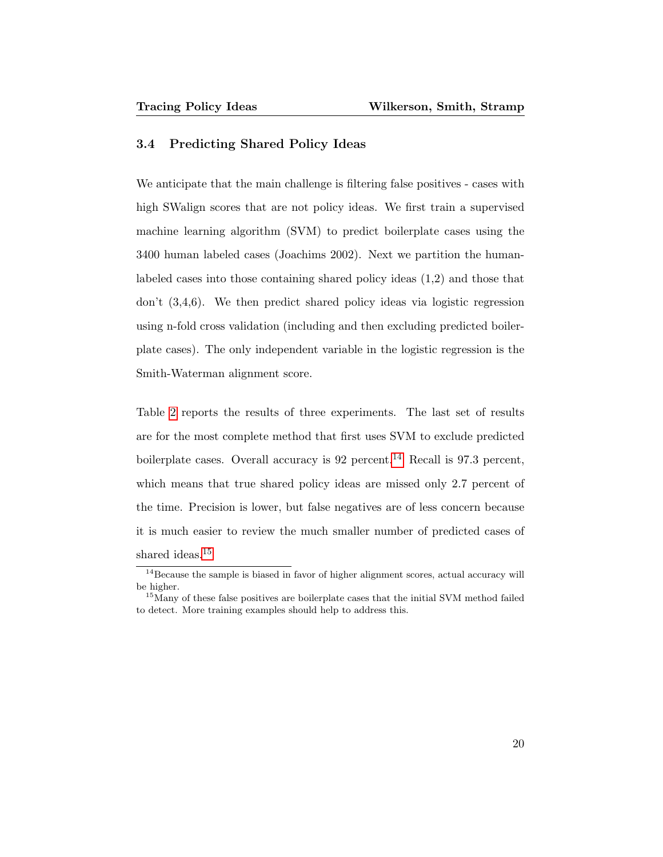### 3.4 Predicting Shared Policy Ideas

We anticipate that the main challenge is filtering false positives - cases with high SWalign scores that are not policy ideas. We first train a supervised machine learning algorithm (SVM) to predict boilerplate cases using the 3400 human labeled cases (Joachims 2002). Next we partition the humanlabeled cases into those containing shared policy ideas (1,2) and those that don't (3,4,6). We then predict shared policy ideas via logistic regression using n-fold cross validation (including and then excluding predicted boilerplate cases). The only independent variable in the logistic regression is the Smith-Waterman alignment score.

Table [2](#page-20-0) reports the results of three experiments. The last set of results are for the most complete method that first uses SVM to exclude predicted boilerplate cases. Overall accuracy is  $92$  percent.<sup>[14](#page-0-0)</sup> Recall is  $97.3$  percent, which means that true shared policy ideas are missed only 2.7 percent of the time. Precision is lower, but false negatives are of less concern because it is much easier to review the much smaller number of predicted cases of shared ideas.<sup>[15](#page-0-0)</sup>

<sup>&</sup>lt;sup>14</sup>Because the sample is biased in favor of higher alignment scores, actual accuracy will be higher.

<sup>&</sup>lt;sup>15</sup>Many of these false positives are boilerplate cases that the initial SVM method failed to detect. More training examples should help to address this.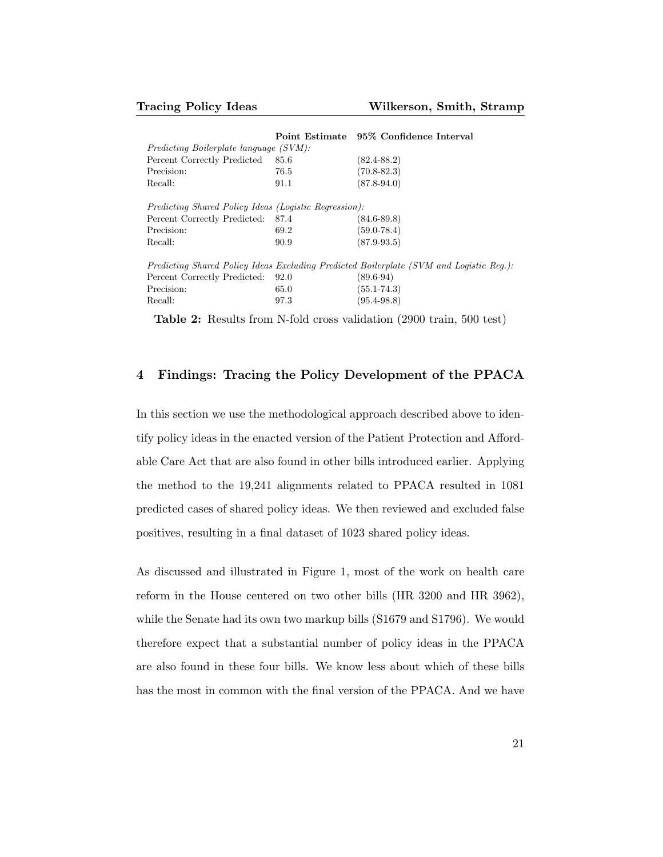<span id="page-20-0"></span>

|                                                              | Point Estimate 95% Confidence Interval                                                  |
|--------------------------------------------------------------|-----------------------------------------------------------------------------------------|
| <i>Predicting Boilerplate language (SVM):</i>                |                                                                                         |
| 85.6                                                         | $(82.4 - 88.2)$                                                                         |
| 76.5                                                         | $(70.8 - 82.3)$                                                                         |
| 91.1                                                         | $(87.8 - 94.0)$                                                                         |
| <i>Predicting Shared Policy Ideas (Logistic Regression):</i> |                                                                                         |
| Percent Correctly Predicted: 87.4                            | $(84.6 - 89.8)$                                                                         |
| 69.2                                                         | $(59.0 - 78.4)$                                                                         |
| 90.9                                                         | $(87.9 - 93.5)$                                                                         |
|                                                              | Predicting Shared Policy Ideas Excluding Predicted Boilerplate (SVM and Logistic Reg.): |
| 92.0                                                         | $(89.6 - 94)$                                                                           |
| 65.0                                                         | $(55.1 - 74.3)$                                                                         |
| 97.3                                                         | $(95.4 - 98.8)$                                                                         |
|                                                              |                                                                                         |

Table 2: Results from N-fold cross validation (2900 train, 500 test)

# 4 Findings: Tracing the Policy Development of the PPACA

In this section we use the methodological approach described above to identify policy ideas in the enacted version of the Patient Protection and Affordable Care Act that are also found in other bills introduced earlier. Applying the method to the 19,241 alignments related to PPACA resulted in 1081 predicted cases of shared policy ideas. We then reviewed and excluded false positives, resulting in a final dataset of 1023 shared policy ideas.

As discussed and illustrated in Figure 1, most of the work on health care reform in the House centered on two other bills (HR 3200 and HR 3962), while the Senate had its own two markup bills (S1679 and S1796). We would therefore expect that a substantial number of policy ideas in the PPACA are also found in these four bills. We know less about which of these bills has the most in common with the final version of the PPACA. And we have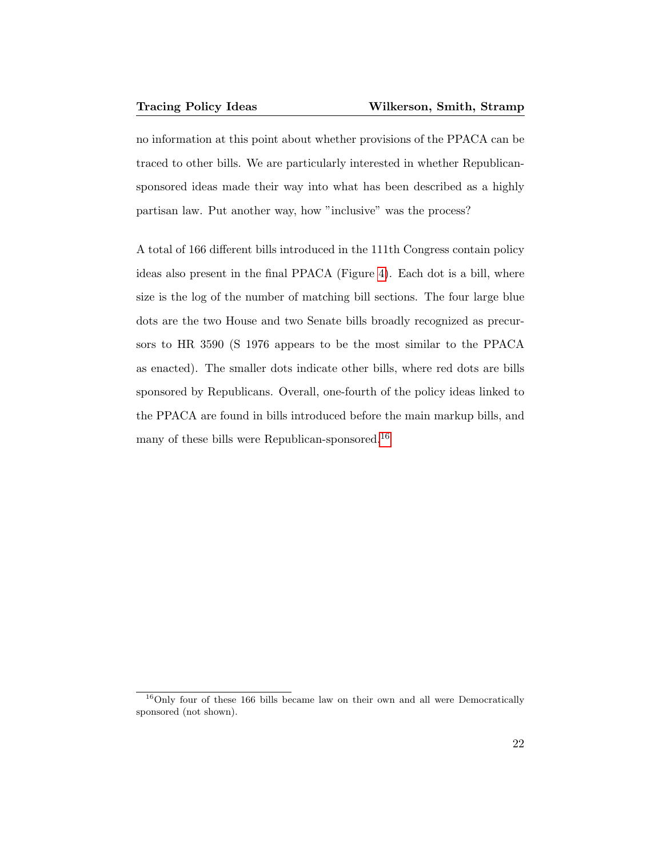no information at this point about whether provisions of the PPACA can be traced to other bills. We are particularly interested in whether Republicansponsored ideas made their way into what has been described as a highly partisan law. Put another way, how "inclusive" was the process?

A total of 166 different bills introduced in the 111th Congress contain policy ideas also present in the final PPACA (Figure [4\)](#page-22-0). Each dot is a bill, where size is the log of the number of matching bill sections. The four large blue dots are the two House and two Senate bills broadly recognized as precursors to HR 3590 (S 1976 appears to be the most similar to the PPACA as enacted). The smaller dots indicate other bills, where red dots are bills sponsored by Republicans. Overall, one-fourth of the policy ideas linked to the PPACA are found in bills introduced before the main markup bills, and many of these bills were Republican-sponsored.<sup>[16](#page-0-0)</sup>

<sup>16</sup>Only four of these 166 bills became law on their own and all were Democratically sponsored (not shown).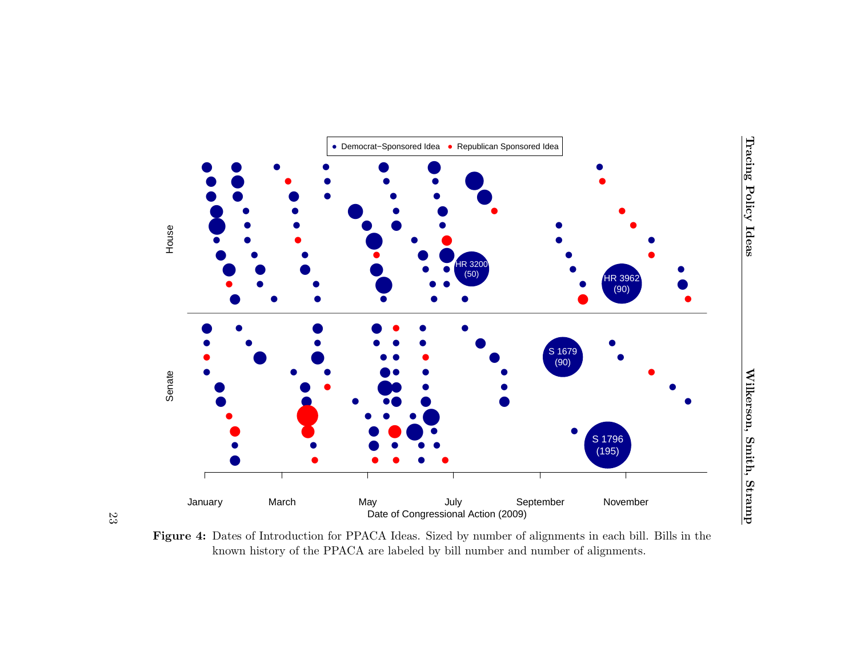<span id="page-22-0"></span>



23

Figure 4: Dates of Introduction for PPACA Ideas. Sized by number of alignments in each bill. Bills in theknown history of the PPACA are labeled by bill number and number of alignments.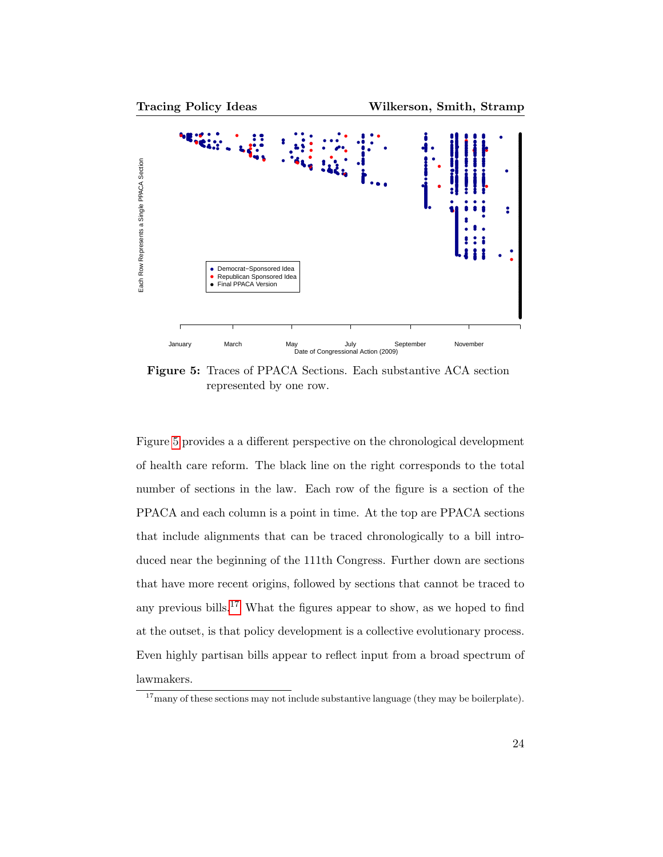<span id="page-23-0"></span>

Figure 5: Traces of PPACA Sections. Each substantive ACA section represented by one row.

Figure [5](#page-23-0) provides a a different perspective on the chronological development of health care reform. The black line on the right corresponds to the total number of sections in the law. Each row of the figure is a section of the PPACA and each column is a point in time. At the top are PPACA sections that include alignments that can be traced chronologically to a bill introduced near the beginning of the 111th Congress. Further down are sections that have more recent origins, followed by sections that cannot be traced to any previous bills.<sup>[17](#page-0-0)</sup> What the figures appear to show, as we hoped to find at the outset, is that policy development is a collective evolutionary process. Even highly partisan bills appear to reflect input from a broad spectrum of lawmakers.

 $17$  many of these sections may not include substantive language (they may be boilerplate).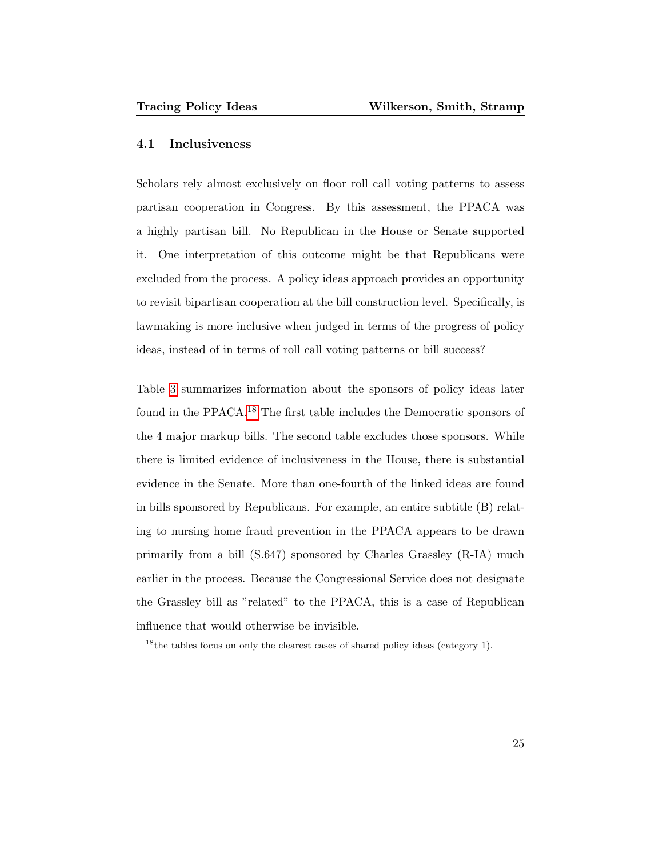#### 4.1 Inclusiveness

Scholars rely almost exclusively on floor roll call voting patterns to assess partisan cooperation in Congress. By this assessment, the PPACA was a highly partisan bill. No Republican in the House or Senate supported it. One interpretation of this outcome might be that Republicans were excluded from the process. A policy ideas approach provides an opportunity to revisit bipartisan cooperation at the bill construction level. Specifically, is lawmaking is more inclusive when judged in terms of the progress of policy ideas, instead of in terms of roll call voting patterns or bill success?

Table [3](#page-25-0) summarizes information about the sponsors of policy ideas later found in the PPACA.[18](#page-0-0) The first table includes the Democratic sponsors of the 4 major markup bills. The second table excludes those sponsors. While there is limited evidence of inclusiveness in the House, there is substantial evidence in the Senate. More than one-fourth of the linked ideas are found in bills sponsored by Republicans. For example, an entire subtitle (B) relating to nursing home fraud prevention in the PPACA appears to be drawn primarily from a bill (S.647) sponsored by Charles Grassley (R-IA) much earlier in the process. Because the Congressional Service does not designate the Grassley bill as "related" to the PPACA, this is a case of Republican influence that would otherwise be invisible.

<sup>&</sup>lt;sup>18</sup>the tables focus on only the clearest cases of shared policy ideas (category 1).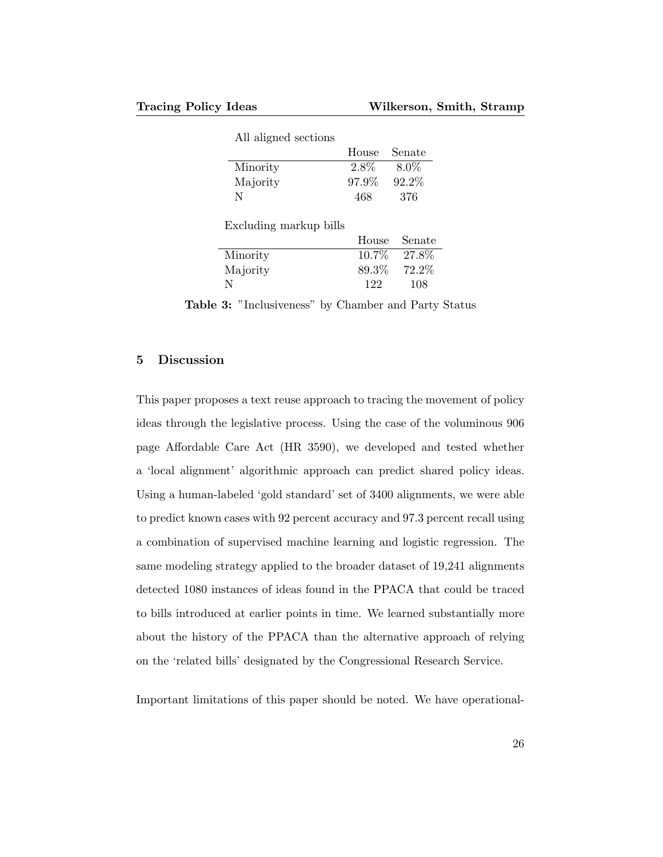<span id="page-25-0"></span>

| All aligned sections   | House | Senate  |
|------------------------|-------|---------|
| Minority               | 2.8%  | $8.0\%$ |
| Majority               | 97.9% | 92.2%   |
| N                      | 468   | 376     |
| Excluding markup bills |       |         |

|          |          | House Senate |
|----------|----------|--------------|
| Minority | $10.7\%$ | $27.8\%$     |
| Majority | 89.3\%   | 72.2\%       |
| N        | 122      | 108          |

Table 3: "Inclusiveness" by Chamber and Party Status

## 5 Discussion

This paper proposes a text reuse approach to tracing the movement of policy ideas through the legislative process. Using the case of the voluminous 906 page Affordable Care Act (HR 3590), we developed and tested whether a 'local alignment' algorithmic approach can predict shared policy ideas. Using a human-labeled 'gold standard' set of 3400 alignments, we were able to predict known cases with 92 percent accuracy and 97.3 percent recall using a combination of supervised machine learning and logistic regression. The same modeling strategy applied to the broader dataset of 19,241 alignments detected 1080 instances of ideas found in the PPACA that could be traced to bills introduced at earlier points in time. We learned substantially more about the history of the PPACA than the alternative approach of relying on the 'related bills' designated by the Congressional Research Service.

Important limitations of this paper should be noted. We have operational-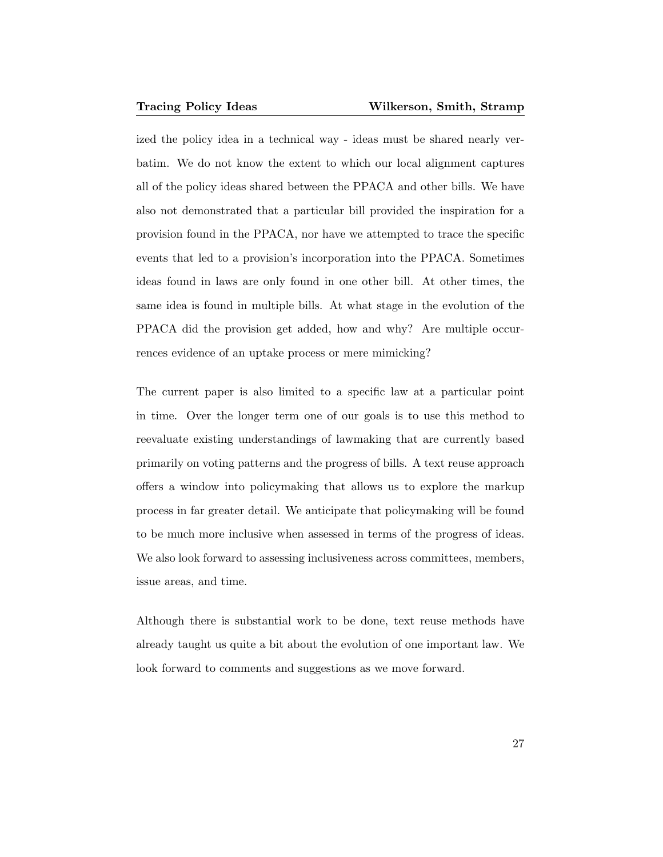ized the policy idea in a technical way - ideas must be shared nearly verbatim. We do not know the extent to which our local alignment captures all of the policy ideas shared between the PPACA and other bills. We have also not demonstrated that a particular bill provided the inspiration for a provision found in the PPACA, nor have we attempted to trace the specific events that led to a provision's incorporation into the PPACA. Sometimes ideas found in laws are only found in one other bill. At other times, the same idea is found in multiple bills. At what stage in the evolution of the PPACA did the provision get added, how and why? Are multiple occurrences evidence of an uptake process or mere mimicking?

The current paper is also limited to a specific law at a particular point in time. Over the longer term one of our goals is to use this method to reevaluate existing understandings of lawmaking that are currently based primarily on voting patterns and the progress of bills. A text reuse approach offers a window into policymaking that allows us to explore the markup process in far greater detail. We anticipate that policymaking will be found to be much more inclusive when assessed in terms of the progress of ideas. We also look forward to assessing inclusiveness across committees, members, issue areas, and time.

Although there is substantial work to be done, text reuse methods have already taught us quite a bit about the evolution of one important law. We look forward to comments and suggestions as we move forward.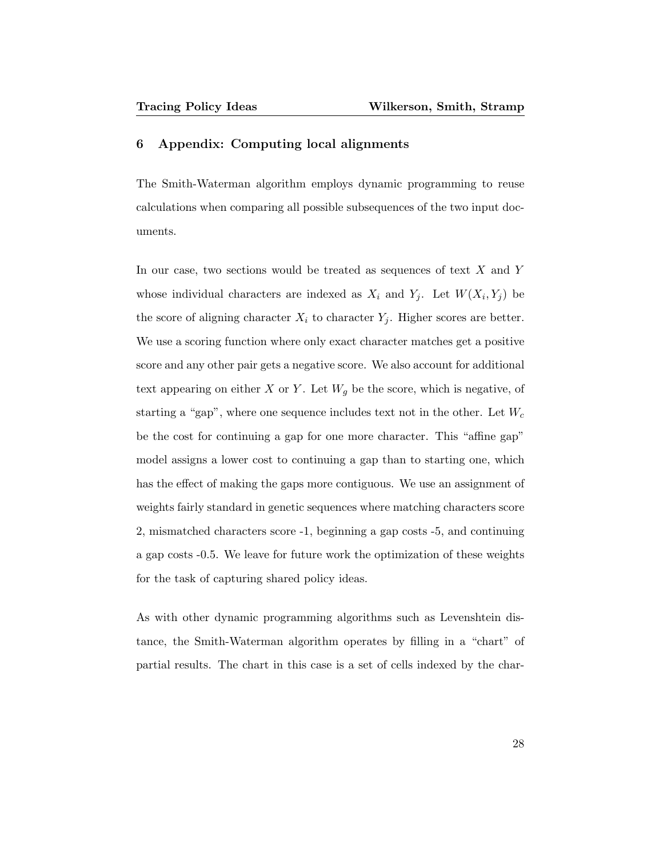#### 6 Appendix: Computing local alignments

The Smith-Waterman algorithm employs dynamic programming to reuse calculations when comparing all possible subsequences of the two input documents.

In our case, two sections would be treated as sequences of text X and Y whose individual characters are indexed as  $X_i$  and  $Y_j$ . Let  $W(X_i, Y_j)$  be the score of aligning character  $X_i$  to character  $Y_j$ . Higher scores are better. We use a scoring function where only exact character matches get a positive score and any other pair gets a negative score. We also account for additional text appearing on either X or Y. Let  $W_g$  be the score, which is negative, of starting a "gap", where one sequence includes text not in the other. Let  $W_c$ be the cost for continuing a gap for one more character. This "affine gap" model assigns a lower cost to continuing a gap than to starting one, which has the effect of making the gaps more contiguous. We use an assignment of weights fairly standard in genetic sequences where matching characters score 2, mismatched characters score -1, beginning a gap costs -5, and continuing a gap costs -0.5. We leave for future work the optimization of these weights for the task of capturing shared policy ideas.

As with other dynamic programming algorithms such as Levenshtein distance, the Smith-Waterman algorithm operates by filling in a "chart" of partial results. The chart in this case is a set of cells indexed by the char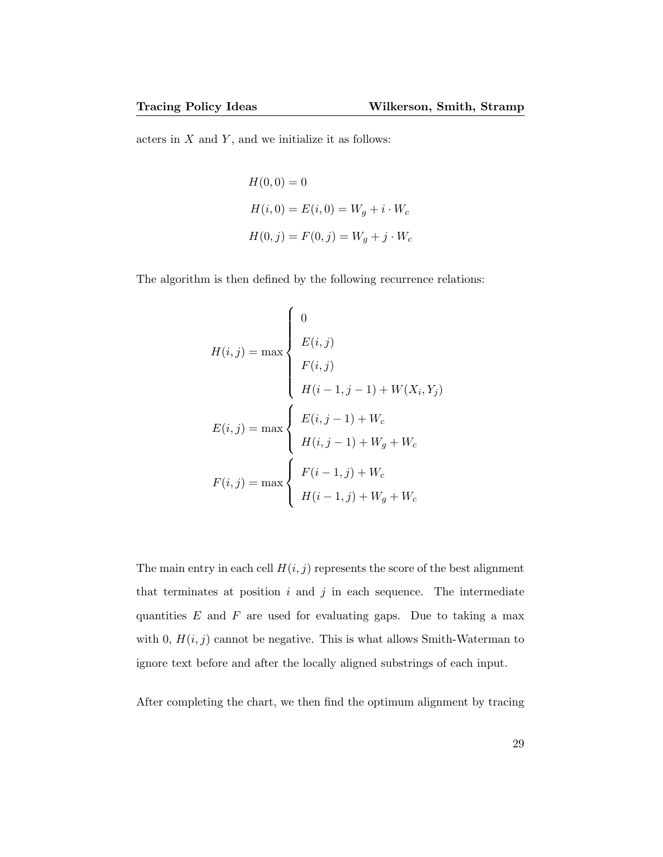acters in  $X$  and  $Y$ , and we initialize it as follows:

$$
H(0,0) = 0
$$
  
\n
$$
H(i,0) = E(i,0) = W_g + i \cdot W_c
$$
  
\n
$$
H(0,j) = F(0,j) = W_g + j \cdot W_c
$$

The algorithm is then defined by the following recurrence relations:

$$
H(i, j) = \max \begin{cases} 0 \\ E(i, j) \\ F(i, j) \\ H(i - 1, j - 1) + W(X_i, Y_j) \end{cases}
$$

$$
E(i, j) = \max \begin{cases} E(i, j - 1) + W_c \\ H(i, j - 1) + W_g + W_c \end{cases}
$$

$$
F(i, j) = \max \begin{cases} F(i - 1, j) + W_c \\ H(i - 1, j) + W_g + W_c \end{cases}
$$

The main entry in each cell  $H(i, j)$  represents the score of the best alignment that terminates at position  $i$  and  $j$  in each sequence. The intermediate quantities  $E$  and  $F$  are used for evaluating gaps. Due to taking a max with 0,  $H(i, j)$  cannot be negative. This is what allows Smith-Waterman to ignore text before and after the locally aligned substrings of each input.

After completing the chart, we then find the optimum alignment by tracing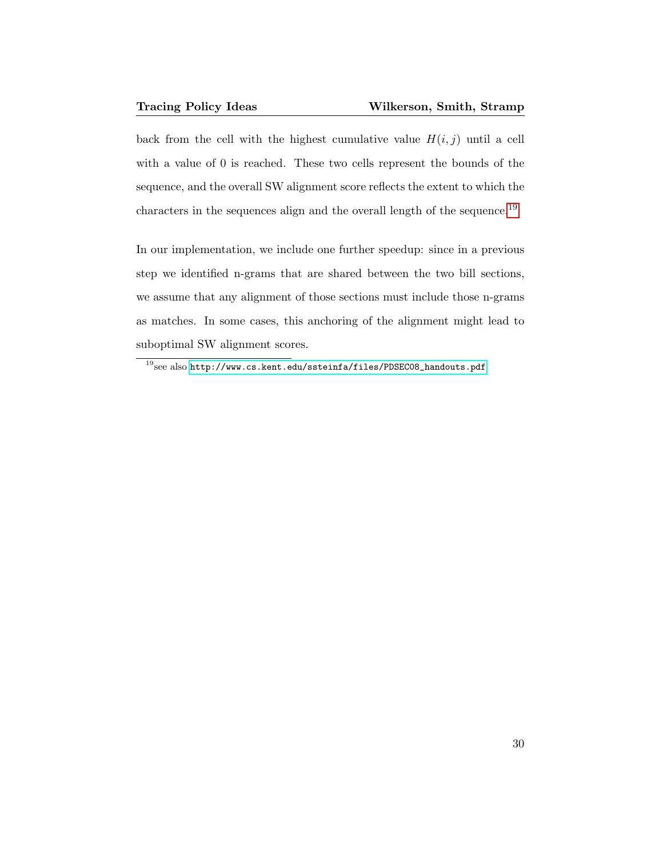back from the cell with the highest cumulative value  $H(i, j)$  until a cell with a value of 0 is reached. These two cells represent the bounds of the sequence, and the overall SW alignment score reflects the extent to which the characters in the sequences align and the overall length of the sequence.  $^{19}$  $^{19}$  $^{19}$ 

In our implementation, we include one further speedup: since in a previous step we identified n-grams that are shared between the two bill sections, we assume that any alignment of those sections must include those n-grams as matches. In some cases, this anchoring of the alignment might lead to suboptimal SW alignment scores.

 $^{19}\rm{see}$  also <code>[http://www.cs.kent.edu/ssteinfa/files/PDSEC08\\_handouts.pdf](http://www.cs.kent.edu/ssteinfa/files/PDSEC08_handouts.pdf)</code>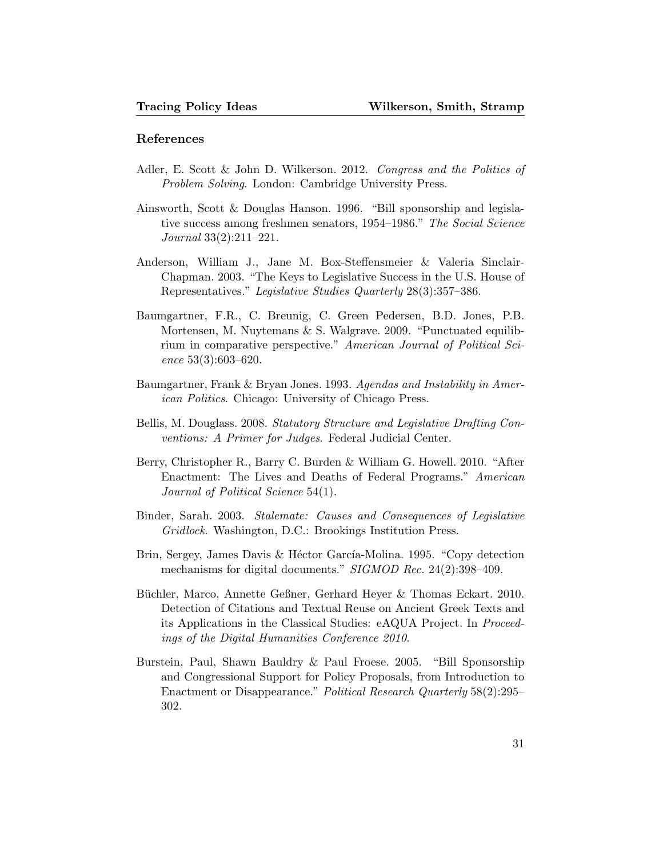#### References

- Adler, E. Scott & John D. Wilkerson. 2012. Congress and the Politics of Problem Solving. London: Cambridge University Press.
- Ainsworth, Scott & Douglas Hanson. 1996. "Bill sponsorship and legislative success among freshmen senators, 1954–1986." The Social Science Journal 33(2):211–221.
- Anderson, William J., Jane M. Box-Steffensmeier & Valeria Sinclair-Chapman. 2003. "The Keys to Legislative Success in the U.S. House of Representatives." Legislative Studies Quarterly 28(3):357–386.
- Baumgartner, F.R., C. Breunig, C. Green Pedersen, B.D. Jones, P.B. Mortensen, M. Nuytemans & S. Walgrave. 2009. "Punctuated equilibrium in comparative perspective." American Journal of Political Science 53(3):603–620.
- Baumgartner, Frank & Bryan Jones. 1993. Agendas and Instability in American Politics. Chicago: University of Chicago Press.
- Bellis, M. Douglass. 2008. Statutory Structure and Legislative Drafting Conventions: A Primer for Judges. Federal Judicial Center.
- Berry, Christopher R., Barry C. Burden & William G. Howell. 2010. "After Enactment: The Lives and Deaths of Federal Programs." American Journal of Political Science 54(1).
- Binder, Sarah. 2003. Stalemate: Causes and Consequences of Legislative Gridlock. Washington, D.C.: Brookings Institution Press.
- Brin, Sergey, James Davis & Héctor García-Molina. 1995. "Copy detection mechanisms for digital documents." SIGMOD Rec. 24(2):398-409.
- Büchler, Marco, Annette Geßner, Gerhard Heyer & Thomas Eckart. 2010. Detection of Citations and Textual Reuse on Ancient Greek Texts and its Applications in the Classical Studies: eAQUA Project. In Proceedings of the Digital Humanities Conference 2010.
- Burstein, Paul, Shawn Bauldry & Paul Froese. 2005. "Bill Sponsorship and Congressional Support for Policy Proposals, from Introduction to Enactment or Disappearance." Political Research Quarterly 58(2):295– 302.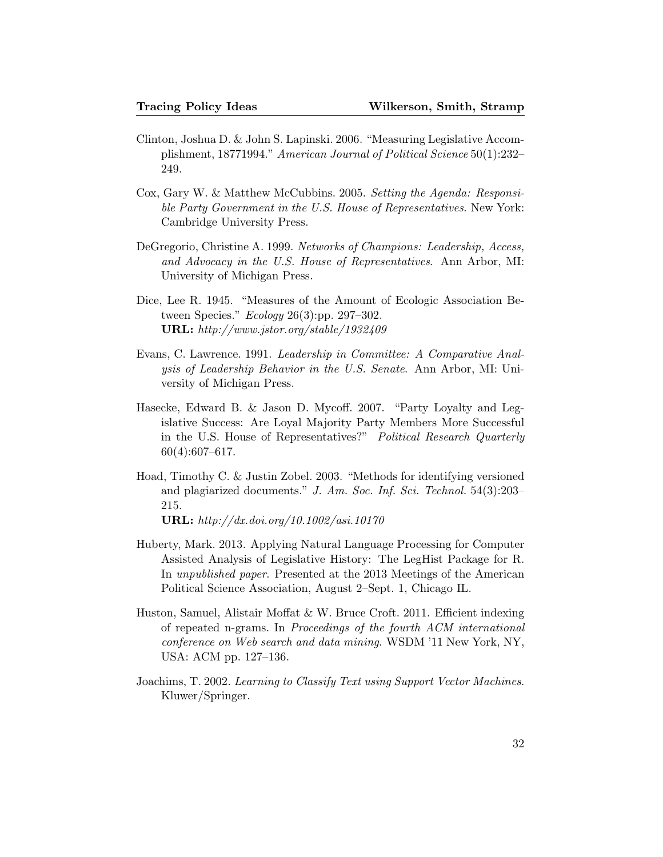- Clinton, Joshua D. & John S. Lapinski. 2006. "Measuring Legislative Accomplishment, 18771994." American Journal of Political Science 50(1):232– 249.
- Cox, Gary W. & Matthew McCubbins. 2005. Setting the Agenda: Responsible Party Government in the U.S. House of Representatives. New York: Cambridge University Press.
- DeGregorio, Christine A. 1999. Networks of Champions: Leadership, Access, and Advocacy in the U.S. House of Representatives. Ann Arbor, MI: University of Michigan Press.
- Dice, Lee R. 1945. "Measures of the Amount of Ecologic Association Between Species." *Ecology* 26(3):pp. 297–302. URL: http://www.jstor.org/stable/1932409
- Evans, C. Lawrence. 1991. Leadership in Committee: A Comparative Analysis of Leadership Behavior in the U.S. Senate. Ann Arbor, MI: University of Michigan Press.
- Hasecke, Edward B. & Jason D. Mycoff. 2007. "Party Loyalty and Legislative Success: Are Loyal Majority Party Members More Successful in the U.S. House of Representatives?" Political Research Quarterly 60(4):607–617.
- Hoad, Timothy C. & Justin Zobel. 2003. "Methods for identifying versioned and plagiarized documents." J. Am. Soc. Inf. Sci. Technol. 54(3):203– 215.

URL: http://dx.doi.org/10.1002/asi.10170

- Huberty, Mark. 2013. Applying Natural Language Processing for Computer Assisted Analysis of Legislative History: The LegHist Package for R. In unpublished paper. Presented at the 2013 Meetings of the American Political Science Association, August 2–Sept. 1, Chicago IL.
- Huston, Samuel, Alistair Moffat & W. Bruce Croft. 2011. Efficient indexing of repeated n-grams. In Proceedings of the fourth ACM international conference on Web search and data mining. WSDM '11 New York, NY, USA: ACM pp. 127–136.
- Joachims, T. 2002. Learning to Classify Text using Support Vector Machines. Kluwer/Springer.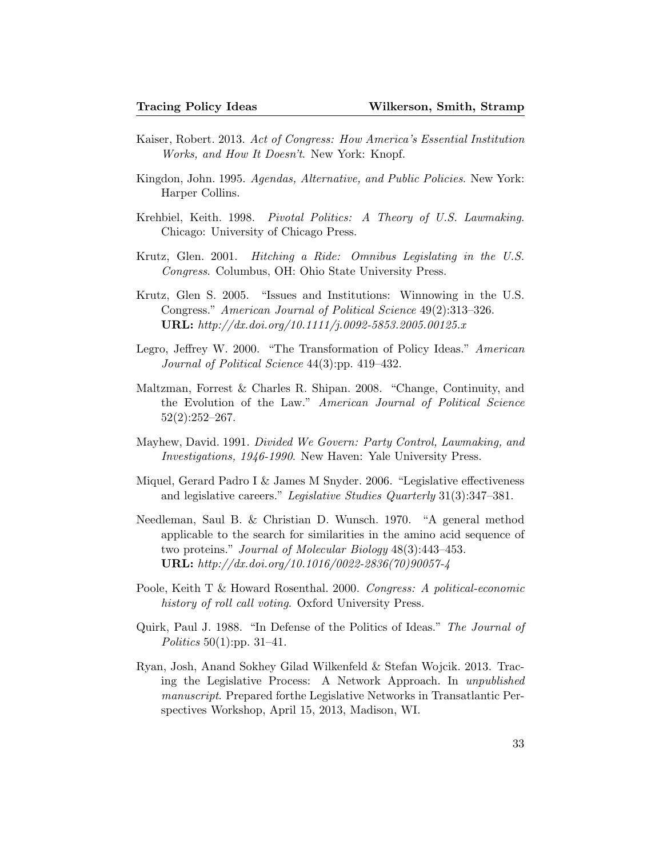- Kaiser, Robert. 2013. Act of Congress: How America's Essential Institution Works, and How It Doesn't. New York: Knopf.
- Kingdon, John. 1995. Agendas, Alternative, and Public Policies. New York: Harper Collins.
- Krehbiel, Keith. 1998. Pivotal Politics: A Theory of U.S. Lawmaking. Chicago: University of Chicago Press.
- Krutz, Glen. 2001. Hitching a Ride: Omnibus Legislating in the U.S. Congress. Columbus, OH: Ohio State University Press.
- Krutz, Glen S. 2005. "Issues and Institutions: Winnowing in the U.S. Congress." American Journal of Political Science 49(2):313–326. URL: http://dx.doi.org/10.1111/j.0092-5853.2005.00125.x
- Legro, Jeffrey W. 2000. "The Transformation of Policy Ideas." American Journal of Political Science 44(3):pp. 419–432.
- Maltzman, Forrest & Charles R. Shipan. 2008. "Change, Continuity, and the Evolution of the Law." American Journal of Political Science  $52(2):252-267.$
- Mayhew, David. 1991. Divided We Govern: Party Control, Lawmaking, and Investigations, 1946-1990. New Haven: Yale University Press.
- Miquel, Gerard Padro I & James M Snyder. 2006. "Legislative effectiveness and legislative careers." Legislative Studies Quarterly 31(3):347–381.
- Needleman, Saul B. & Christian D. Wunsch. 1970. "A general method applicable to the search for similarities in the amino acid sequence of two proteins." Journal of Molecular Biology 48(3):443–453. URL: http://dx.doi.org/10.1016/0022-2836(70)90057-4
- Poole, Keith T & Howard Rosenthal. 2000. Congress: A political-economic history of roll call voting. Oxford University Press.
- Quirk, Paul J. 1988. "In Defense of the Politics of Ideas." The Journal of *Politics* 50(1):pp. 31–41.
- Ryan, Josh, Anand Sokhey Gilad Wilkenfeld & Stefan Wojcik. 2013. Tracing the Legislative Process: A Network Approach. In unpublished manuscript. Prepared forthe Legislative Networks in Transatlantic Perspectives Workshop, April 15, 2013, Madison, WI.